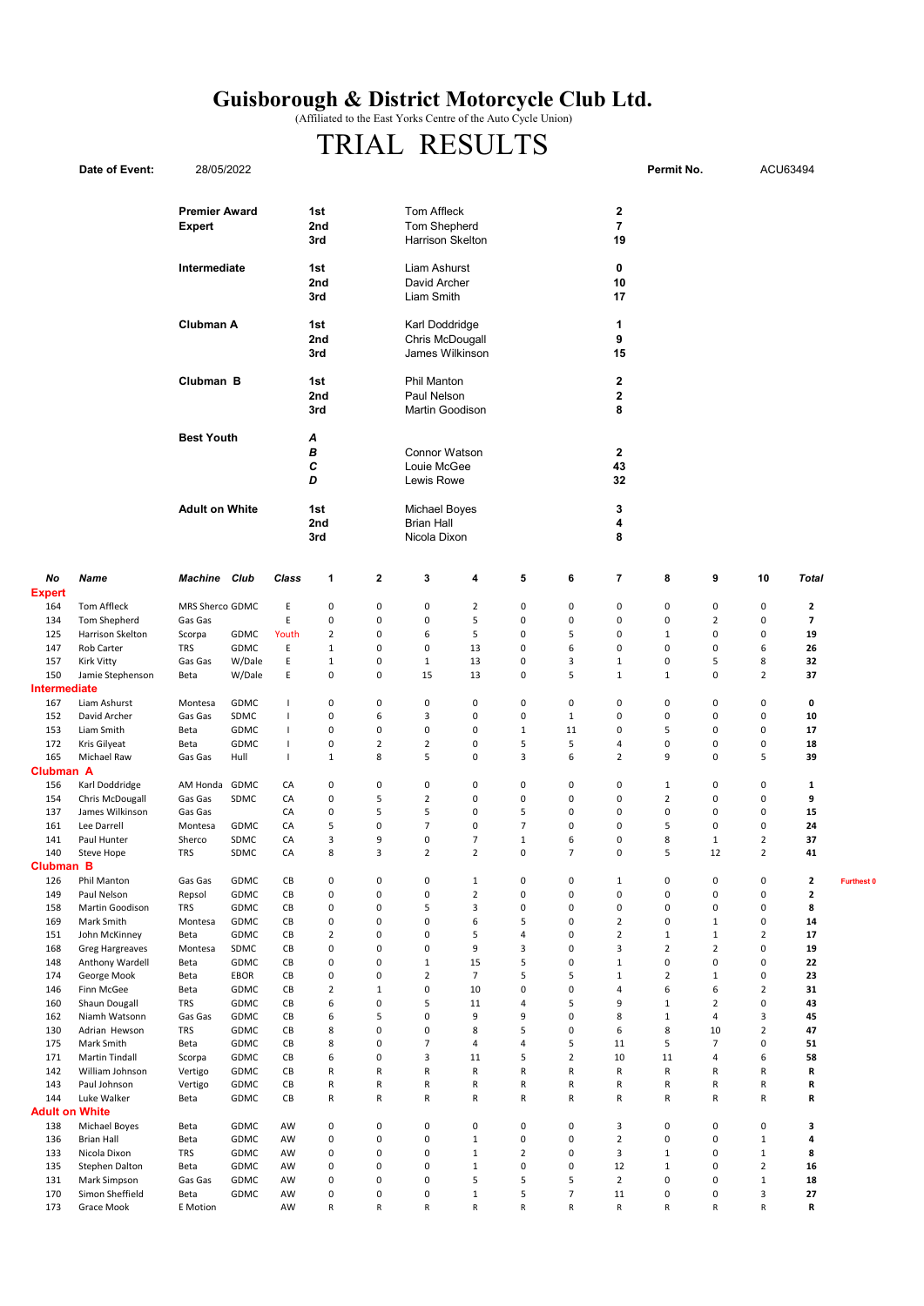## Guisborough & District Motorcycle Club Ltd.

(Affiliated to the East Yorks Centre of the Auto Cycle Union)

## TRIAL RESULTS

|                     | Date of Event:                    | 28/05/2022                            |                                |                   |                     |                                                                                                                   |                                                                              |                                |                                            |                          |                                             | Permit No.                |                        |                                | ACU63494                                |                   |  |
|---------------------|-----------------------------------|---------------------------------------|--------------------------------|-------------------|---------------------|-------------------------------------------------------------------------------------------------------------------|------------------------------------------------------------------------------|--------------------------------|--------------------------------------------|--------------------------|---------------------------------------------|---------------------------|------------------------|--------------------------------|-----------------------------------------|-------------------|--|
|                     |                                   | <b>Premier Award</b><br><b>Expert</b> |                                |                   | 1st<br>2nd<br>3rd   |                                                                                                                   | Tom Affleck<br>2<br>$\overline{7}$<br>Tom Shepherd<br>Harrison Skelton<br>19 |                                |                                            |                          |                                             |                           |                        |                                |                                         |                   |  |
|                     | Intermediate                      |                                       |                                | 1st<br>2nd<br>3rd |                     | Liam Ashurst<br>0<br>David Archer<br>Liam Smith<br>Karl Doddridge<br>1<br>Chris McDougall<br>9<br>James Wilkinson |                                                                              |                                |                                            | 10<br>17                 | $\mathbf 2$<br>$\overline{\mathbf{2}}$<br>8 |                           |                        |                                |                                         |                   |  |
|                     | Clubman A                         |                                       |                                |                   | 1st<br>2nd<br>3rd   |                                                                                                                   |                                                                              |                                |                                            |                          |                                             |                           |                        | 15                             |                                         |                   |  |
|                     |                                   |                                       | Clubman B<br>1st<br>2nd<br>3rd |                   |                     |                                                                                                                   | <b>Phil Manton</b><br>Paul Nelson<br>Martin Goodison                         |                                |                                            |                          |                                             |                           |                        |                                |                                         |                   |  |
|                     |                                   | <b>Best Youth</b>                     |                                |                   | Α<br>В<br>с<br>D    |                                                                                                                   | <b>Connor Watson</b><br>Louie McGee<br>Lewis Rowe                            |                                |                                            |                          | $\mathbf{2}$<br>43<br>32                    |                           |                        |                                |                                         |                   |  |
|                     |                                   | <b>Adult on White</b>                 |                                |                   | 1st<br>2nd<br>3rd   |                                                                                                                   | Michael Boyes<br><b>Brian Hall</b><br>Nicola Dixon                           |                                |                                            |                          | 3<br>4<br>8                                 |                           |                        |                                |                                         |                   |  |
| No<br><b>Expert</b> | Name                              | <b>Machine</b> Club                   |                                | Class             | 1                   | $\mathbf{2}$                                                                                                      | 3                                                                            | 4                              | 5                                          | 6                        | $\overline{\phantom{a}}$                    | 8                         | 9                      | 10                             | Total                                   |                   |  |
| 164                 | Tom Affleck                       | MRS Sherco GDMC                       |                                | Ε                 | 0                   | $\pmb{0}$                                                                                                         | 0                                                                            | $\overline{2}$                 | 0                                          | 0                        | 0                                           | $\mathbf 0$               | 0                      | $\mathsf 0$                    | $\overline{\mathbf{2}}$                 |                   |  |
| 134                 | Tom Shepherd                      | Gas Gas                               |                                | E                 | 0                   | $\pmb{0}$                                                                                                         | 0                                                                            | 5                              | 0                                          | $\pmb{0}$                | 0                                           | $\mathbf 0$               | $\overline{2}$         | $\mathbf 0$                    | $\overline{\phantom{a}}$                |                   |  |
| 125                 | Harrison Skelton                  | Scorpa                                | GDMC                           | Youth             | $\overline{2}$      | $\pmb{0}$                                                                                                         | 6                                                                            | 5                              | 0                                          | 5                        | 0                                           | $\mathbf{1}$              | 0                      | $\mathbf 0$                    | 19                                      |                   |  |
| 147                 | Rob Carter                        | <b>TRS</b>                            | GDMC                           | Ε                 | $\mathbf{1}$        | $\mathbf 0$                                                                                                       | $\mathbf 0$                                                                  | 13                             | $\mathbf 0$                                | 6                        | 0                                           | $\mathbf 0$               | 0                      | 6                              | 26                                      |                   |  |
| 157                 | Kirk Vitty                        | Gas Gas                               | W/Dale                         | Ε                 | $\mathbf{1}$        | $\pmb{0}$                                                                                                         | $\mathbf{1}$                                                                 | 13                             | 0                                          | 3                        | 1                                           | 0                         | 5                      | 8                              | 32                                      |                   |  |
| 150                 | Jamie Stephenson<br>diate         | Beta                                  | W/Dale                         | Ε                 | 0                   | $\mathbf 0$                                                                                                       | 15                                                                           | 13                             | 0                                          | 5                        | $\mathbf{1}$                                | 1                         | $\mathbf 0$            | $\overline{2}$                 | 37                                      |                   |  |
| Interme<br>167      | Liam Ashurst                      | Montesa                               | GDMC                           | $\mathbf{I}$      | 0                   | $\pmb{0}$                                                                                                         | $\mathbf 0$                                                                  | $\mathbf 0$                    | 0                                          | $\mathbf 0$              | 0                                           | 0                         | $\mathsf 0$            | 0                              | 0                                       |                   |  |
| 152                 | David Archer                      | Gas Gas                               | SDMC                           | $\mathbf{I}$      | 0                   | 6                                                                                                                 | 3                                                                            | $\mathbf 0$                    | 0                                          | $1\,$                    | 0                                           | 0                         | 0                      | 0                              | 10                                      |                   |  |
| 153                 | Liam Smith                        | Beta                                  | GDMC                           | $\mathbf{I}$      | 0                   | $\mathbf 0$                                                                                                       | 0                                                                            | $\mathbf 0$                    | $\mathbf{1}$                               | 11                       | 0                                           | 5                         | 0                      | 0                              | 17                                      |                   |  |
| 172                 | Kris Gilyeat                      | Beta                                  | GDMC                           | $\overline{1}$    | 0                   | $\sqrt{2}$                                                                                                        | $\mathbf 2$                                                                  | $\mathbf 0$                    | 5                                          | 5                        | 4                                           | $\mathbf 0$               | 0                      | $\pmb{0}$                      | 18                                      |                   |  |
| 165                 | Michael Raw                       | Gas Gas                               | Hull                           | $\overline{1}$    | $\mathbf{1}$        | 8                                                                                                                 | 5                                                                            | $\mathbf 0$                    | 3                                          | 6                        | $\overline{2}$                              | 9                         | 0                      | 5                              | 39                                      |                   |  |
| Clubman A           |                                   |                                       |                                |                   |                     |                                                                                                                   |                                                                              |                                |                                            |                          |                                             |                           |                        |                                |                                         |                   |  |
| 156                 | Karl Doddridge<br>Chris McDougall | AM Honda                              | GDMC                           | CA                | 0<br>0              | $\pmb{0}$<br>5                                                                                                    | $\pmb{0}$<br>$\overline{2}$                                                  | $\pmb{0}$<br>$\mathbf 0$       | $\pmb{0}$<br>$\pmb{0}$                     | $\pmb{0}$<br>$\mathbf 0$ | 0<br>0                                      | 1<br>$\overline{2}$       | 0<br>$\mathbf 0$       | $\pmb{0}$<br>$\mathbf 0$       | 1<br>9                                  |                   |  |
| 154<br>137          | James Wilkinson                   | Gas Gas<br>Gas Gas                    | SDMC                           | CA<br>CA          | 0                   | 5                                                                                                                 | 5                                                                            | $\mathbf 0$                    | 5                                          | $\mathbf 0$              | 0                                           | $\pmb{0}$                 | 0                      | $\mathbf 0$                    | 15                                      |                   |  |
| 161                 | Lee Darrell                       | Montesa                               | GDMC                           | CA                | 5                   | $\pmb{0}$                                                                                                         | $\overline{7}$                                                               | 0                              | $\overline{7}$                             | 0                        | 0                                           | 5                         | 0                      | $\pmb{0}$                      | 24                                      |                   |  |
| 141                 | Paul Hunter                       | Sherco                                | SDMC                           | CA                | 3                   | 9                                                                                                                 | 0                                                                            | $\overline{7}$                 | $\mathbf{1}$                               | 6                        | 0                                           | 8                         | $\mathbf{1}$           | $\mathbf 2$                    | 37                                      |                   |  |
| 140                 | Steve Hope                        | TRS                                   | SDMC                           | CA                | 8                   | 3                                                                                                                 | 2                                                                            | 2                              | 0                                          |                          | 0                                           | 5                         | 12                     | 2                              | 41                                      |                   |  |
| Clubman B           |                                   |                                       |                                |                   |                     |                                                                                                                   |                                                                              |                                |                                            |                          |                                             |                           |                        |                                |                                         |                   |  |
| 126<br>149          | Phil Manton<br>Paul Nelson        | Gas Gas<br>Repsol                     | GDMC<br>GDMC                   | CB<br>CB          | 0<br>0              | $\pmb{0}$<br>$\pmb{0}$                                                                                            | $\mathsf{O}\xspace$<br>$\mathsf{O}\xspace$                                   | $\mathbf{1}$<br>$\overline{2}$ | $\mathsf{O}\xspace$<br>$\mathsf{O}\xspace$ | $\pmb{0}$<br>$\pmb{0}$   | $\mathbf{1}$<br>$\pmb{0}$                   | $\pmb{0}$<br>$\pmb{0}$    | $\pmb{0}$<br>$\pmb{0}$ | $\pmb{0}$<br>$\mathsf 0$       | $\overline{\mathbf{2}}$<br>$\mathbf{2}$ | <b>Furthest 0</b> |  |
| 158                 | Martin Goodison                   | <b>TRS</b>                            | GDMC                           | CB                | 0                   | $\pmb{0}$                                                                                                         | 5                                                                            | $\overline{\mathbf{3}}$        | 0                                          | $\pmb{0}$                | $\mathsf 0$                                 | $\mathbf 0$               | 0                      | $\mathbf 0$                    | 8                                       |                   |  |
| 169                 | Mark Smith                        | Montesa                               | GDMC                           | CB                | 0                   | $\mathbf 0$                                                                                                       | 0                                                                            | 6                              | 5                                          | $\pmb{0}$                | $\overline{2}$                              | $\mathbf 0$               | $\mathbf{1}$           | $\mathbf 0$                    | 14                                      |                   |  |
| 151                 | John McKinney                     | Beta                                  | GDMC                           | CB                | $\overline{2}$      | $\mathbf 0$                                                                                                       | 0                                                                            | 5                              | 4                                          | $\mathbf 0$              | $\mathbf 2$                                 | $\mathbf{1}$              | $\mathbf{1}$           | $\mathbf 2$                    | 17                                      |                   |  |
| 168                 | <b>Greg Hargreaves</b>            | Montesa                               | SDMC                           | CB                | $\mathsf{O}\xspace$ | $\mathbf 0$                                                                                                       | 0                                                                            | $\boldsymbol{9}$               | 3                                          | $\pmb{0}$                | 3                                           | $\overline{2}$            | $\overline{2}$         | $\mathbf 0$                    | 19                                      |                   |  |
| 148                 | Anthony Wardell                   | Beta                                  | GDMC                           | CB                | $\pmb{0}$           | $\mathbf 0$                                                                                                       | $\mathbf 1$                                                                  | 15                             | 5                                          | $\pmb{0}$                | $1\,$                                       | $\mathsf 0$               | $\mathsf 0$            | $\mathbf 0$                    | 22                                      |                   |  |
| 174<br>146          | George Mook<br>Finn McGee         | Beta<br>Beta                          | EBOR<br>GDMC                   | СB<br>CB          | 0<br>$\overline{2}$ | $\mathbf 0$<br>$\,1\,$                                                                                            | $\overline{2}$<br>$\mathsf{O}\xspace$                                        | $\overline{7}$<br>10           | 5<br>0                                     | 5<br>$\pmb{0}$           | $\mathbf{1}$<br>4                           | $\overline{2}$<br>6       | $\mathbf{1}$<br>6      | $\pmb{0}$<br>$\overline{2}$    | 23<br>31                                |                   |  |
| 160                 | Shaun Dougall                     | <b>TRS</b>                            | GDMC                           | CB                | 6                   | $\pmb{0}$                                                                                                         | 5                                                                            | 11                             | 4                                          | 5                        | 9                                           | $\mathbf{1}$              | $\overline{2}$         | $\pmb{0}$                      | 43                                      |                   |  |
| 162                 | Niamh Watsonn                     | Gas Gas                               | GDMC                           | CB                | 6                   | 5                                                                                                                 | $\mathsf 0$                                                                  | 9                              | 9                                          | $\pmb{0}$                | 8                                           | $\mathbf 1$               | 4                      | 3                              | 45                                      |                   |  |
| 130                 | Adrian Hewson                     | <b>TRS</b>                            | GDMC                           | CB                | 8                   | $\pmb{0}$                                                                                                         | 0                                                                            | 8                              | 5                                          | $\pmb{0}$                | 6                                           | 8                         | 10                     | $\overline{2}$                 | 47                                      |                   |  |
| 175                 | Mark Smith                        | Beta                                  | GDMC                           | CB                | 8                   | $\pmb{0}$                                                                                                         | $\overline{7}$                                                               | $\overline{4}$                 | 4                                          | 5                        | 11                                          | 5                         | $\overline{7}$         | $\mathbf 0$                    | 51                                      |                   |  |
| 171                 | Martin Tindall                    | Scorpa                                | GDMC                           | CB                | 6                   | $\pmb{0}$                                                                                                         | 3                                                                            | 11                             | 5                                          | $\overline{2}$           | 10                                          | 11                        | 4                      | 6                              | 58                                      |                   |  |
| 142<br>143          | William Johnson<br>Paul Johnson   | Vertigo                               | GDMC<br>GDMC                   | CB<br>CB          | R                   | ${\sf R}$<br>R                                                                                                    | R<br>R                                                                       | ${\sf R}$<br>R                 | R<br>R                                     | ${\sf R}$<br>$\mathsf R$ | R<br>R                                      | R<br>R                    | ${\sf R}$<br>R         | ${\sf R}$<br>R                 | R<br>R                                  |                   |  |
| 144                 | Luke Walker                       | Vertigo<br>Beta                       | GDMC                           | CB                | R<br>R              | ${\sf R}$                                                                                                         | R                                                                            | R                              | R                                          | $\mathsf R$              | R                                           | R                         | R                      | $\mathsf R$                    | R                                       |                   |  |
| Adult oı            | n White                           |                                       |                                |                   |                     |                                                                                                                   |                                                                              |                                |                                            |                          |                                             |                           |                        |                                |                                         |                   |  |
| 138                 | Michael Boyes                     | Beta                                  | GDMC                           | AW                | $\mathsf{O}\xspace$ | $\pmb{0}$                                                                                                         | 0                                                                            | $\mathbf 0$                    | $\mathsf 0$                                | $\pmb{0}$                | 3                                           | $\pmb{0}$                 | $\mathsf 0$            | $\mathbf 0$                    | 3                                       |                   |  |
| 136                 | <b>Brian Hall</b>                 | Beta                                  | GDMC                           | AW                | $\mathsf 0$         | $\pmb{0}$                                                                                                         | 0                                                                            | $\mathbf 1$                    | 0                                          | $\pmb{0}$                | $\mathbf 2$                                 | $\pmb{0}$                 | $\mathsf 0$            | $\mathbf 1$                    | 4                                       |                   |  |
| 133                 | Nicola Dixon                      | <b>TRS</b>                            | GDMC                           | AW                | 0                   | $\mathbf 0$                                                                                                       | 0                                                                            | $\mathbf{1}$                   | $\overline{2}$                             | $\pmb{0}$                | 3                                           | $\mathbf{1}$              | $\mathsf 0$            | $1\,$                          | 8                                       |                   |  |
| 135<br>131          | Stephen Dalton<br>Mark Simpson    | Beta<br>Gas Gas                       | GDMC<br>GDMC                   | AW<br>AW          | 0<br>0              | $\pmb{0}$<br>$\pmb{0}$                                                                                            | $\pmb{0}$<br>0                                                               | $1\,$<br>5                     | 0<br>5                                     | $\pmb{0}$<br>5           | 12<br>$\overline{2}$                        | $\mathbf{1}$<br>$\pmb{0}$ | 0<br>0                 | $\overline{2}$<br>$\mathbf{1}$ | 16<br>18                                |                   |  |
| 170                 | Simon Sheffield                   | Beta                                  | GDMC                           | AW                | 0                   | $\pmb{0}$                                                                                                         | $\mathsf{O}\xspace$                                                          | $\mathbf{1}$                   | 5                                          | $\overline{7}$           | 11                                          | $\pmb{0}$                 | 0                      | 3                              | 27                                      |                   |  |
|                     |                                   |                                       |                                |                   |                     |                                                                                                                   |                                                                              |                                |                                            |                          |                                             |                           |                        |                                |                                         |                   |  |

173 Grace Mook EMotion AW R R R R R R R R R R R R